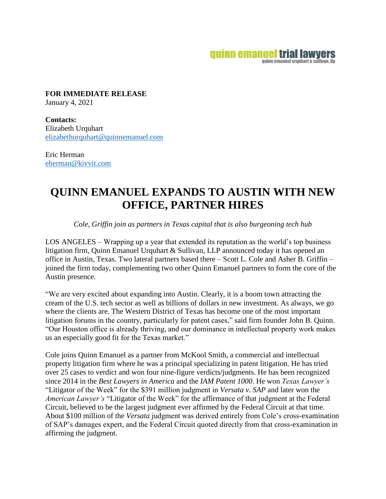## **quinn emanuel trial lawyers** quinn emanuel urquhart & sullivan. Ilp

**FOR IMMEDIATE RELEASE**  January 4, 2021

**Contacts:**  Elizabeth Urquhart [elizabethurquhart@quinnemanuel.com](mailto:elizabethurquhart@quinnemanuel.com)

Eric Herman [eherman@kivvit.com](mailto:eherman@kivvit.com)

## **QUINN EMANUEL EXPANDS TO AUSTIN WITH NEW OFFICE, PARTNER HIRES**

*Cole, Griffin join as partners in Texas capital that is also burgeoning tech hub*

LOS ANGELES – Wrapping up a year that extended its reputation as the world's top business litigation firm, Quinn Emanuel Urquhart & Sullivan, LLP announced today it has opened an office in Austin, Texas. Two lateral partners based there – Scott L. Cole and Asher B. Griffin – joined the firm today, complementing two other Quinn Emanuel partners to form the core of the Austin presence.

"We are very excited about expanding into Austin. Clearly, it is a boom town attracting the cream of the U.S. tech sector as well as billions of dollars in new investment. As always, we go where the clients are. The Western District of Texas has become one of the most important litigation forums in the country, particularly for patent cases," said firm founder John B. Quinn. "Our Houston office is already thriving, and our dominance in intellectual property work makes us an especially good fit for the Texas market."

Cole joins Quinn Emanuel as a partner from McKool Smith, a commercial and intellectual property litigation firm where he was a principal specializing in patent litigation. He has tried over 25 cases to verdict and won four nine-figure verdicts/judgments. He has been recognized since 2014 in the *Best Lawyers in America* and the *IAM Patent 1000*. He won *Texas Lawyer's*  "Litigator of the Week" for the \$391 million judgment in *Versata v. SAP* and later won the *American Lawyer's* "Litigator of the Week" for the affirmance of that judgment at the Federal Circuit, believed to be the largest judgment ever affirmed by the Federal Circuit at that time. About \$100 million of the *Versata* judgment was derived entirely from Cole's cross-examination of SAP's damages expert, and the Federal Circuit quoted directly from that cross-examination in affirming the judgment.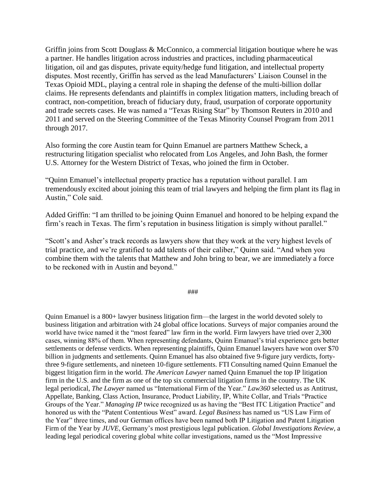Griffin joins from Scott Douglass & McConnico, a commercial litigation boutique where he was a partner. He handles litigation across industries and practices, including pharmaceutical litigation, oil and gas disputes, private equity/hedge fund litigation, and intellectual property disputes. Most recently, Griffin has served as the lead Manufacturers' Liaison Counsel in the Texas Opioid MDL, playing a central role in shaping the defense of the multi-billion dollar claims. He represents defendants and plaintiffs in complex litigation matters, including breach of contract, non-competition, breach of fiduciary duty, fraud, usurpation of corporate opportunity and trade secrets cases. He was named a "Texas Rising Star" by Thomson Reuters in 2010 and 2011 and served on the Steering Committee of the Texas Minority Counsel Program from 2011 through 2017.

Also forming the core Austin team for Quinn Emanuel are partners Matthew Scheck, a restructuring litigation specialist who relocated from Los Angeles, and John Bash, the former U.S. Attorney for the Western District of Texas, who joined the firm in October.

"Quinn Emanuel's intellectual property practice has a reputation without parallel. I am tremendously excited about joining this team of trial lawyers and helping the firm plant its flag in Austin," Cole said.

Added Griffin: "I am thrilled to be joining Quinn Emanuel and honored to be helping expand the firm's reach in Texas. The firm's reputation in business litigation is simply without parallel."

"Scott's and Asher's track records as lawyers show that they work at the very highest levels of trial practice, and we're gratified to add talents of their caliber," Quinn said. "And when you combine them with the talents that Matthew and John bring to bear, we are immediately a force to be reckoned with in Austin and beyond."

###

Quinn Emanuel is a 800+ lawyer business litigation firm—the largest in the world devoted solely to business litigation and arbitration with 24 global office locations. Surveys of major companies around the world have twice named it the "most feared" law firm in the world. Firm lawyers have tried over 2,300 cases, winning 88% of them. When representing defendants, Quinn Emanuel's trial experience gets better settlements or defense verdicts. When representing plaintiffs, Quinn Emanuel lawyers have won over \$70 billion in judgments and settlements. Quinn Emanuel has also obtained five 9-figure jury verdicts, fortythree 9-figure settlements, and nineteen 10-figure settlements. FTI Consulting named Quinn Emanuel the biggest litigation firm in the world. *The American Lawyer* named Quinn Emanuel the top IP litigation firm in the U.S. and the firm as one of the top six commercial litigation firms in the country. The UK legal periodical, *The Lawyer* named us "International Firm of the Year." *Law360* selected us as Antitrust, Appellate, Banking, Class Action, Insurance, Product Liability, IP, White Collar, and Trials "Practice Groups of the Year." *Managing IP* twice recognized us as having the "Best ITC Litigation Practice" and honored us with the "Patent Contentious West" award. *Legal Business* has named us "US Law Firm of the Year" three times, and our German offices have been named both IP Litigation and Patent Litigation Firm of the Year by *JUVE*, Germany's most prestigious legal publication. *Global Investigations Review*, a leading legal periodical covering global white collar investigations, named us the "Most Impressive